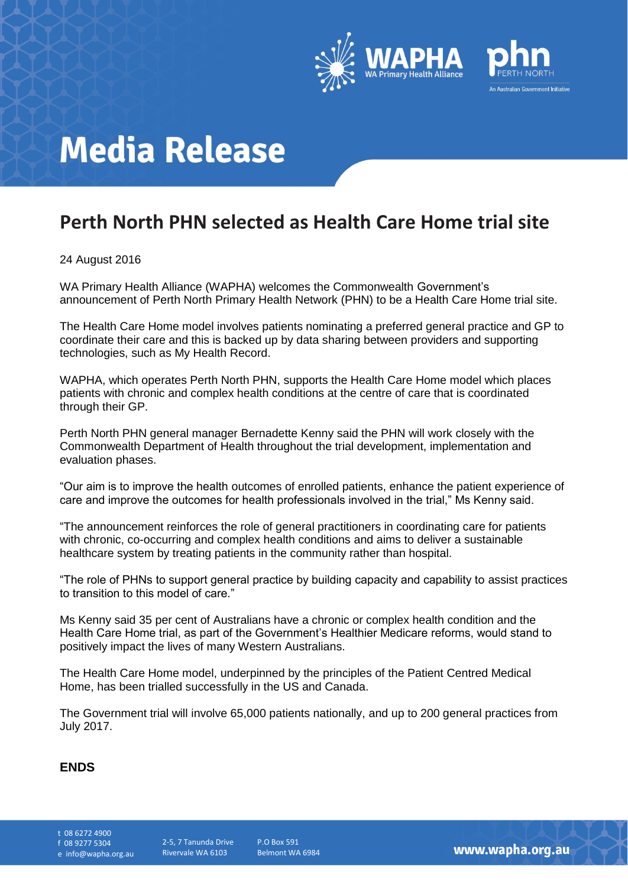

## **Media Release**

### **Perth North PHN selected as Health Care Home trial site**

#### 24 August 2016

WA Primary Health Alliance (WAPHA) welcomes the Commonwealth Government's announcement of Perth North Primary Health Network (PHN) to be a Health Care Home trial site.

The Health Care Home model involves patients nominating a preferred general practice and GP to coordinate their care and this is backed up by data sharing between providers and supporting technologies, such as My Health Record.

WAPHA, which operates Perth North PHN, supports the Health Care Home model which places patients with chronic and complex health conditions at the centre of care that is coordinated through their GP.

Perth North PHN general manager Bernadette Kenny said the PHN will work closely with the Commonwealth Department of Health throughout the trial development, implementation and evaluation phases.

"Our aim is to improve the health outcomes of enrolled patients, enhance the patient experience of care and improve the outcomes for health professionals involved in the trial," Ms Kenny said.

"The announcement reinforces the role of general practitioners in coordinating care for patients with chronic, co-occurring and complex health conditions and aims to deliver a sustainable healthcare system by treating patients in the community rather than hospital.

"The role of PHNs to support general practice by building capacity and capability to assist practices to transition to this model of care."

Ms Kenny said 35 per cent of Australians have a chronic or complex health condition and the Health Care Home trial, as part of the Government's Healthier Medicare reforms, would stand to positively impact the lives of many Western Australians.

The Health Care Home model, underpinned by the principles of the Patient Centred Medical Home, has been trialled successfully in the US and Canada.

The Government trial will involve 65,000 patients nationally, and up to 200 general practices from July 2017.

#### **ENDS**

t 08 6272 4900

f 08 9277 5304

e info@wapha.org.au